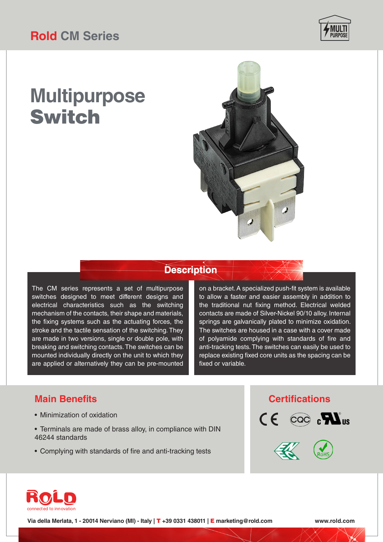

# **Multipurpose**  Switch



### **Description**

The CM series represents a set of multipurpose switches designed to meet different designs and electrical characteristics such as the switching mechanism of the contacts, their shape and materials, the fixing systems such as the actuating forces, the stroke and the tactile sensation of the switching. They are made in two versions, single or double pole, with breaking and switching contacts. The switches can be mounted individually directly on the unit to which they are applied or alternatively they can be pre-mounted

on a bracket. A specialized push-fit system is available to allow a faster and easier assembly in addition to the traditional nut fixing method. Electrical welded contacts are made of Silver-Nickel 90/10 alloy. Internal springs are galvanically plated to minimize oxidation. The switches are housed in a case with a cover made of polyamide complying with standards of fire and anti-tracking tests. The switches can easily be used to replace existing fixed core units as the spacing can be fixed or variable.

## **Main Benefits Certifications**

- Minimization of oxidation
- Terminals are made of brass alloy, in compliance with DIN 46244 standards
- Complying with standards of fire and anti-tracking tests